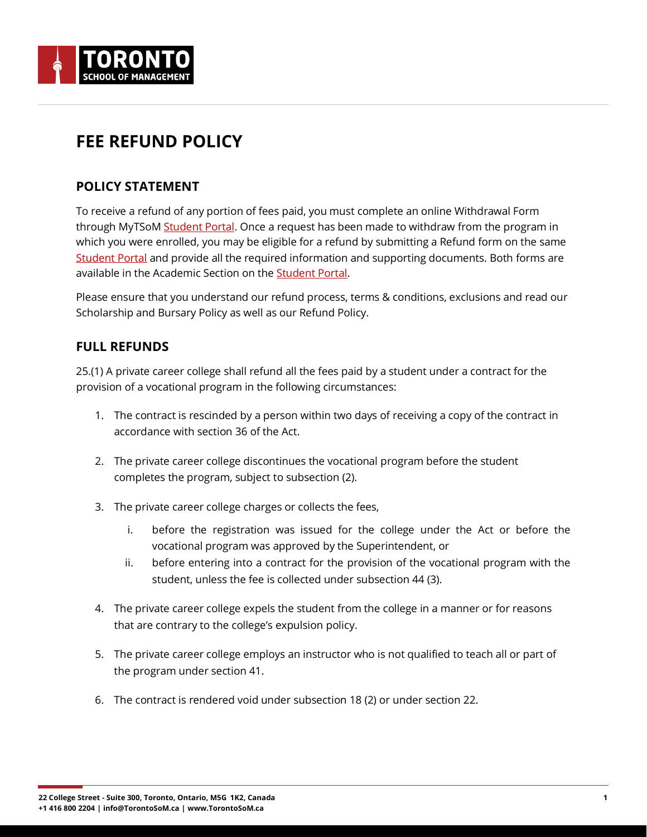

# **FEE REFUND POLICY**

#### **POLICY STATEMENT**

To receive a refund of any portion of fees paid, you must complete an online Withdrawal Form through MyTSoM [Student Portal.](https://login.torontosom.ca/) Once a request has been made to withdraw from the program in which you were enrolled, you may be eligible for a refund by submitting a Refund form on the same [Student Portal](https://login.torontosom.ca/) and provide all the required information and supporting documents. Both forms are available in the Academic Section on the **Student Portal**.

Please ensure that you understand our refund process, terms & conditions, exclusions and read our Scholarship and Bursary Policy as well as our Refund Policy.

### **FULL REFUNDS**

25.(1) A private career college shall refund all the fees paid by a student under a contract for the provision of a vocational program in the following circumstances:

- 1. The contract is rescinded by a person within two days of receiving a copy of the contract in accordance with section 36 of the Act.
- 2. The private career college discontinues the vocational program before the student completes the program, subject to subsection (2).
- 3. The private career college charges or collects the fees,
	- i. before the registration was issued for the college under the Act or before the vocational program was approved by the Superintendent, or
	- ii. before entering into a contract for the provision of the vocational program with the student, unless the fee is collected under subsection 44 (3).
- 4. The private career college expels the student from the college in a manner or for reasons that are contrary to the college's expulsion policy.
- 5. The private career college employs an instructor who is not qualified to teach all or part of the program under section 41.
- 6. The contract is rendered void under subsection 18 (2) or under section 22.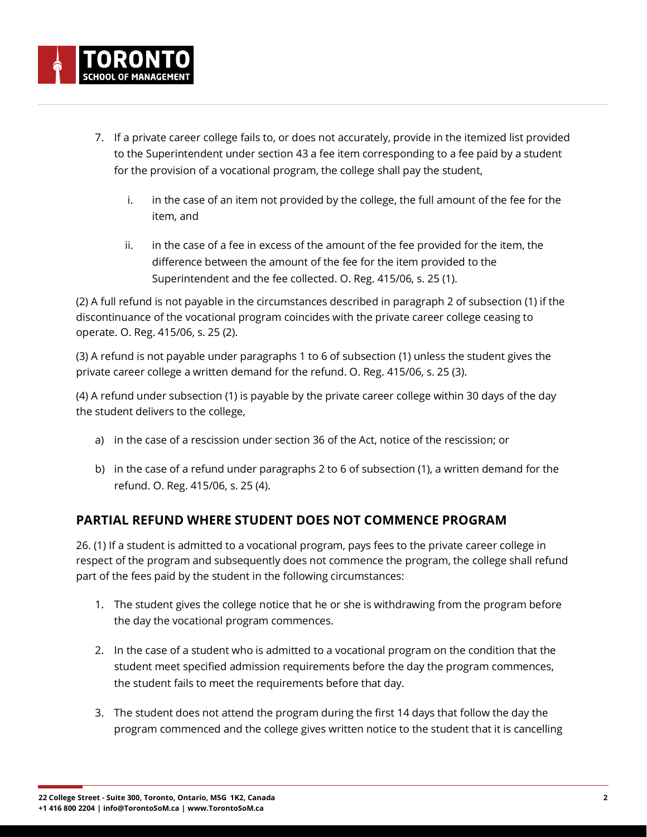- 7. If a private career college fails to, or does not accurately, provide in the itemized list provided to the Superintendent under section 43 a fee item corresponding to a fee paid by a student for the provision of a vocational program, the college shall pay the student,
	- i. in the case of an item not provided by the college, the full amount of the fee for the item, and
	- ii. in the case of a fee in excess of the amount of the fee provided for the item, the difference between the amount of the fee for the item provided to the Superintendent and the fee collected. O. Reg. 415/06, s. 25 (1).

(2) A full refund is not payable in the circumstances described in paragraph 2 of subsection (1) if the discontinuance of the vocational program coincides with the private career college ceasing to operate. O. Reg. 415/06, s. 25 (2).

(3) A refund is not payable under paragraphs 1 to 6 of subsection (1) unless the student gives the private career college a written demand for the refund. O. Reg. 415/06, s. 25 (3).

(4) A refund under subsection (1) is payable by the private career college within 30 days of the day the student delivers to the college,

- a) in the case of a rescission under section 36 of the Act, notice of the rescission; or
- b) in the case of a refund under paragraphs 2 to 6 of subsection (1), a written demand for the refund. O. Reg. 415/06, s. 25 (4).

## **PARTIAL REFUND WHERE STUDENT DOES NOT COMMENCE PROGRAM**

26. (1) If a student is admitted to a vocational program, pays fees to the private career college in respect of the program and subsequently does not commence the program, the college shall refund part of the fees paid by the student in the following circumstances:

- 1. The student gives the college notice that he or she is withdrawing from the program before the day the vocational program commences.
- 2. In the case of a student who is admitted to a vocational program on the condition that the student meet specified admission requirements before the day the program commences, the student fails to meet the requirements before that day.
- 3. The student does not attend the program during the first 14 days that follow the day the program commenced and the college gives written notice to the student that it is cancelling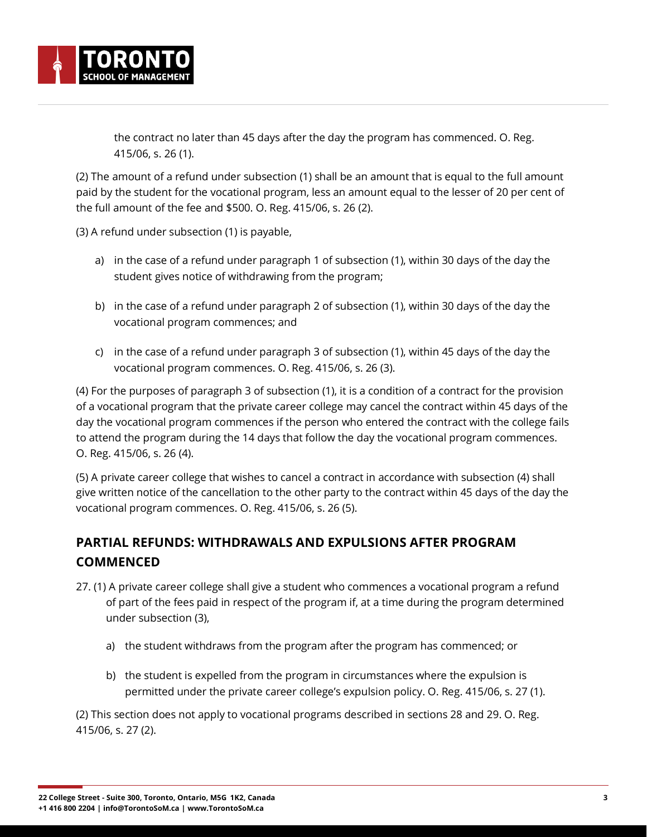

(2) The amount of a refund under subsection (1) shall be an amount that is equal to the full amount paid by the student for the vocational program, less an amount equal to the lesser of 20 per cent of the full amount of the fee and \$500. O. Reg. 415/06, s. 26 (2).

(3) A refund under subsection (1) is payable,

- a) in the case of a refund under paragraph 1 of subsection (1), within 30 days of the day the student gives notice of withdrawing from the program;
- b) in the case of a refund under paragraph 2 of subsection (1), within 30 days of the day the vocational program commences; and
- c) in the case of a refund under paragraph 3 of subsection (1), within 45 days of the day the vocational program commences. O. Reg. 415/06, s. 26 (3).

(4) For the purposes of paragraph 3 of subsection (1), it is a condition of a contract for the provision of a vocational program that the private career college may cancel the contract within 45 days of the day the vocational program commences if the person who entered the contract with the college fails to attend the program during the 14 days that follow the day the vocational program commences. O. Reg. 415/06, s. 26 (4).

(5) A private career college that wishes to cancel a contract in accordance with subsection (4) shall give written notice of the cancellation to the other party to the contract within 45 days of the day the vocational program commences. O. Reg. 415/06, s. 26 (5).

# **PARTIAL REFUNDS: WITHDRAWALS AND EXPULSIONS AFTER PROGRAM COMMENCED**

- 27. (1) A private career college shall give a student who commences a vocational program a refund of part of the fees paid in respect of the program if, at a time during the program determined under subsection (3),
	- a) the student withdraws from the program after the program has commenced; or
	- b) the student is expelled from the program in circumstances where the expulsion is permitted under the private career college's expulsion policy. O. Reg. 415/06, s. 27 (1).

(2) This section does not apply to vocational programs described in sections 28 and 29. O. Reg. 415/06, s. 27 (2).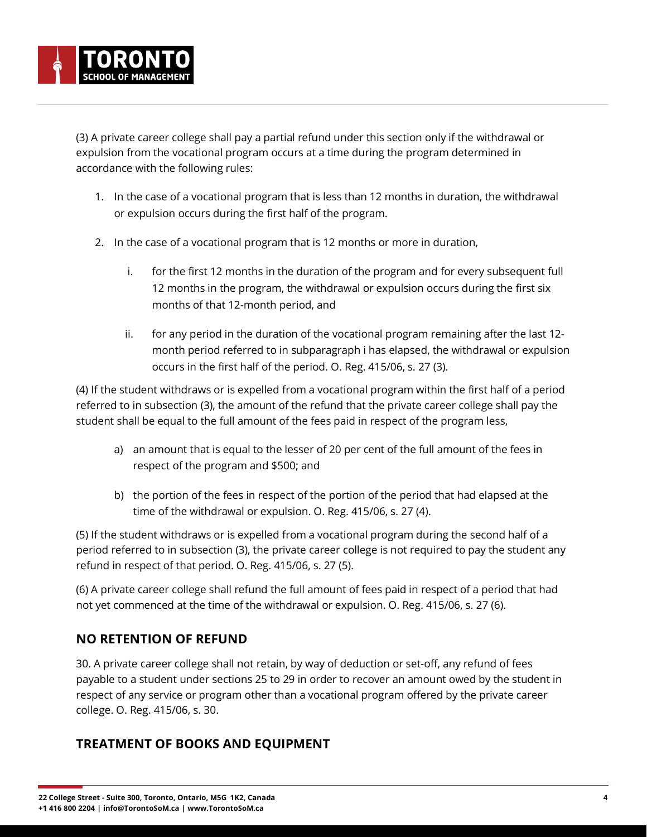(3) A private career college shall pay a partial refund under this section only if the withdrawal or expulsion from the vocational program occurs at a time during the program determined in accordance with the following rules:

- 1. In the case of a vocational program that is less than 12 months in duration, the withdrawal or expulsion occurs during the first half of the program.
- 2. In the case of a vocational program that is 12 months or more in duration,
	- i. for the first 12 months in the duration of the program and for every subsequent full 12 months in the program, the withdrawal or expulsion occurs during the first six months of that 12-month period, and
	- ii. for any period in the duration of the vocational program remaining after the last 12 month period referred to in subparagraph i has elapsed, the withdrawal or expulsion occurs in the first half of the period. O. Reg. 415/06, s. 27 (3).

(4) If the student withdraws or is expelled from a vocational program within the first half of a period referred to in subsection (3), the amount of the refund that the private career college shall pay the student shall be equal to the full amount of the fees paid in respect of the program less,

- a) an amount that is equal to the lesser of 20 per cent of the full amount of the fees in respect of the program and \$500; and
- b) the portion of the fees in respect of the portion of the period that had elapsed at the time of the withdrawal or expulsion. O. Reg. 415/06, s. 27 (4).

(5) If the student withdraws or is expelled from a vocational program during the second half of a period referred to in subsection (3), the private career college is not required to pay the student any refund in respect of that period. O. Reg. 415/06, s. 27 (5).

(6) A private career college shall refund the full amount of fees paid in respect of a period that had not yet commenced at the time of the withdrawal or expulsion. O. Reg. 415/06, s. 27 (6).

## **NO RETENTION OF REFUND**

30. A private career college shall not retain, by way of deduction or set-off, any refund of fees payable to a student under sections 25 to 29 in order to recover an amount owed by the student in respect of any service or program other than a vocational program offered by the private career college. O. Reg. 415/06, s. 30.

## **TREATMENT OF BOOKS AND EQUIPMENT**